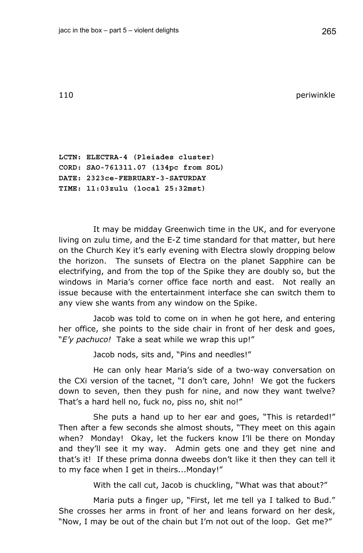110 **perimeters** and the set of the set of the set of the set of the set of the set of the set of the set of the set of the set of the set of the set of the set of the set of the set of the set of the set of the set of the

**LCTN: ELECTRA-4 (Pleiades cluster) CORD: SAO-761311.07 (134pc from SOL) DATE: 2323ce-FEBRUARY-3-SATURDAY TIME: 11:03zulu (local 25:32mst)** 

It may be midday Greenwich time in the UK, and for everyone living on zulu time, and the E-Z time standard for that matter, but here on the Church Key it's early evening with Electra slowly dropping below the horizon. The sunsets of Electra on the planet Sapphire can be electrifying, and from the top of the Spike they are doubly so, but the windows in Maria's corner office face north and east. Not really an issue because with the entertainment interface she can switch them to any view she wants from any window on the Spike.

Jacob was told to come on in when he got here, and entering her office, she points to the side chair in front of her desk and goes, "*E'y pachuco!* Take a seat while we wrap this up!"

Jacob nods, sits and, "Pins and needles!"

He can only hear Maria's side of a two-way conversation on the CXi version of the tacnet, "I don't care, John! We got the fuckers down to seven, then they push for nine, and now they want twelve? That's a hard hell no, fuck no, piss no, shit no!"

She puts a hand up to her ear and goes, "This is retarded!" Then after a few seconds she almost shouts, "They meet on this again when? Monday! Okay, let the fuckers know I'll be there on Monday and they'll see it my way. Admin gets one and they get nine and that's it! If these prima donna dweebs don't like it then they can tell it to my face when I get in theirs...Monday!"

With the call cut, Jacob is chuckling, "What was that about?"

Maria puts a finger up, "First, let me tell ya I talked to Bud." She crosses her arms in front of her and leans forward on her desk, "Now, I may be out of the chain but I'm not out of the loop. Get me?"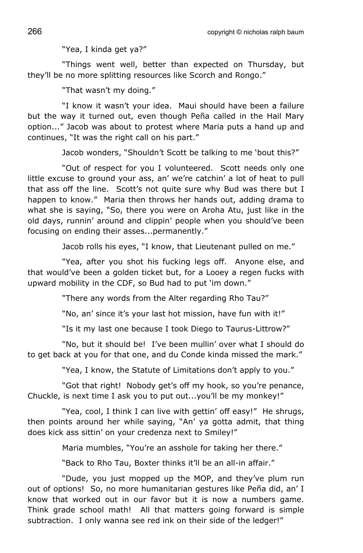"Yea, I kinda get ya?"

"Things went well, better than expected on Thursday, but they'll be no more splitting resources like Scorch and Rongo."

"That wasn't my doing."

"I know it wasn't your idea. Maui should have been a failure but the way it turned out, even though Peña called in the Hail Mary option..." Jacob was about to protest where Maria puts a hand up and continues, "It was the right call on his part."

Jacob wonders, "Shouldn't Scott be talking to me 'bout this?"

"Out of respect for you I volunteered. Scott needs only one little excuse to ground your ass, an' we're catchin' a lot of heat to pull that ass off the line. Scott's not quite sure why Bud was there but I happen to know." Maria then throws her hands out, adding drama to what she is saying, "So, there you were on Aroha Atu, just like in the old days, runnin' around and clippin' people when you should've been focusing on ending their asses...permanently."

Jacob rolls his eyes, "I know, that Lieutenant pulled on me."

"Yea, after you shot his fucking legs off. Anyone else, and that would've been a golden ticket but, for a Looey a regen fucks with upward mobility in the CDF, so Bud had to put 'im down."

"There any words from the Alter regarding Rho Tau?"

"No, an' since it's your last hot mission, have fun with it!"

"Is it my last one because I took Diego to Taurus-Littrow?"

"No, but it should be! I've been mullin' over what I should do to get back at you for that one, and du Conde kinda missed the mark."

"Yea, I know, the Statute of Limitations don't apply to you."

"Got that right! Nobody get's off my hook, so you're penance, Chuckle, is next time I ask you to put out...you'll be my monkey!"

"Yea, cool, I think I can live with gettin' off easy!" He shrugs, then points around her while saying, "An' ya gotta admit, that thing does kick ass sittin' on your credenza next to Smiley!"

Maria mumbles, "You're an asshole for taking her there."

"Back to Rho Tau, Boxter thinks it'll be an all-in affair."

"Dude, you just mopped up the MOP, and they've plum run out of options! So, no more humanitarian gestures like Peña did, an' I know that worked out in our favor but it is now a numbers game. Think grade school math! All that matters going forward is simple subtraction. I only wanna see red ink on their side of the ledger!"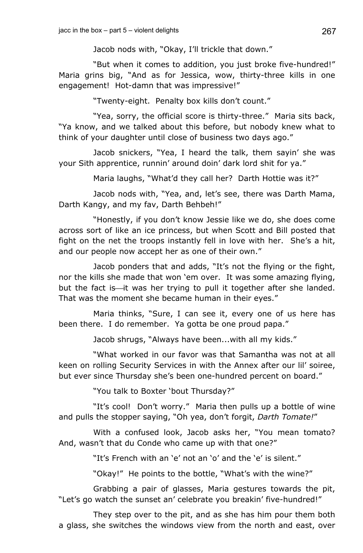Jacob nods with, "Okay, I'll trickle that down."

"But when it comes to addition, you just broke five-hundred!" Maria grins big, "And as for Jessica, wow, thirty-three kills in one engagement! Hot-damn that was impressive!"

"Twenty-eight. Penalty box kills don't count."

"Yea, sorry, the official score is thirty-three." Maria sits back, "Ya know, and we talked about this before, but nobody knew what to think of your daughter until close of business two days ago."

Jacob snickers, "Yea, I heard the talk, them sayin' she was your Sith apprentice, runnin' around doin' dark lord shit for ya."

Maria laughs, "What'd they call her? Darth Hottie was it?"

Jacob nods with, "Yea, and, let's see, there was Darth Mama, Darth Kangy, and my fav, Darth Behbeh!"

"Honestly, if you don't know Jessie like we do, she does come across sort of like an ice princess, but when Scott and Bill posted that fight on the net the troops instantly fell in love with her. She's a hit, and our people now accept her as one of their own."

Jacob ponders that and adds, "It's not the flying or the fight, nor the kills she made that won 'em over. It was some amazing flying, but the fact is—it was her trying to pull it together after she landed. That was the moment she became human in their eyes."

Maria thinks, "Sure, I can see it, every one of us here has been there. I do remember. Ya gotta be one proud papa."

Jacob shrugs, "Always have been...with all my kids."

"What worked in our favor was that Samantha was not at all keen on rolling Security Services in with the Annex after our lil' soiree, but ever since Thursday she's been one-hundred percent on board."

"You talk to Boxter 'bout Thursday?"

"It's cool! Don't worry." Maria then pulls up a bottle of wine and pulls the stopper saying, "Oh yea, don't forgit, *Darth Tomate!*"

With a confused look, Jacob asks her, "You mean tomato? And, wasn't that du Conde who came up with that one?"

"It's French with an 'e' not an 'o' and the 'e' is silent."

"Okay!" He points to the bottle, "What's with the wine?"

Grabbing a pair of glasses, Maria gestures towards the pit, "Let's go watch the sunset an' celebrate you breakin' five-hundred!"

They step over to the pit, and as she has him pour them both a glass, she switches the windows view from the north and east, over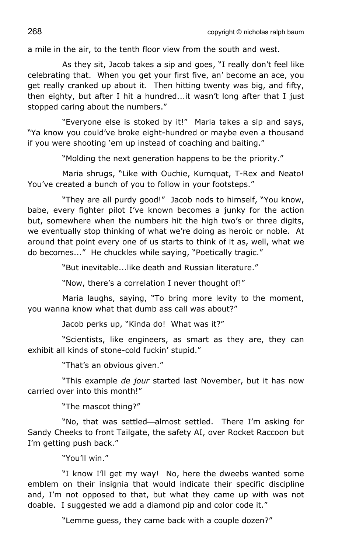a mile in the air, to the tenth floor view from the south and west.

As they sit, Jacob takes a sip and goes, "I really don't feel like celebrating that. When you get your first five, an' become an ace, you get really cranked up about it. Then hitting twenty was big, and fifty, then eighty, but after I hit a hundred...it wasn't long after that I just stopped caring about the numbers."

"Everyone else is stoked by it!" Maria takes a sip and says, "Ya know you could've broke eight-hundred or maybe even a thousand if you were shooting 'em up instead of coaching and baiting."

"Molding the next generation happens to be the priority."

Maria shrugs, "Like with Ouchie, Kumquat, T-Rex and Neato! You've created a bunch of you to follow in your footsteps."

"They are all purdy good!" Jacob nods to himself, "You know, babe, every fighter pilot I've known becomes a junky for the action but, somewhere when the numbers hit the high two's or three digits, we eventually stop thinking of what we're doing as heroic or noble. At around that point every one of us starts to think of it as, well, what we do becomes..." He chuckles while saying, "Poetically tragic."

"But inevitable...like death and Russian literature."

"Now, there's a correlation I never thought of!"

Maria laughs, saying, "To bring more levity to the moment, you wanna know what that dumb ass call was about?"

Jacob perks up, "Kinda do! What was it?"

"Scientists, like engineers, as smart as they are, they can exhibit all kinds of stone-cold fuckin' stupid."

"That's an obvious given."

"This example *de jour* started last November, but it has now carried over into this month!"

"The mascot thing?"

"No, that was settled—almost settled. There I'm asking for Sandy Cheeks to front Tailgate, the safety AI, over Rocket Raccoon but I'm getting push back."

"You'll win."

"I know I'll get my way! No, here the dweebs wanted some emblem on their insignia that would indicate their specific discipline and, I'm not opposed to that, but what they came up with was not doable. I suggested we add a diamond pip and color code it."

"Lemme guess, they came back with a couple dozen?"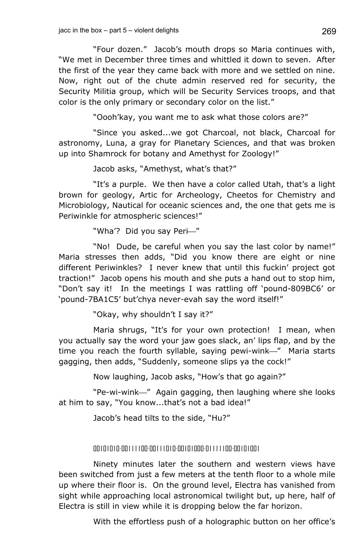"Four dozen." Jacob's mouth drops so Maria continues with, "We met in December three times and whittled it down to seven. After the first of the year they came back with more and we settled on nine. Now, right out of the chute admin reserved red for security, the Security Militia group, which will be Security Services troops, and that color is the only primary or secondary color on the list."

"Oooh'kay, you want me to ask what those colors are?"

"Since you asked...we got Charcoal, not black, Charcoal for astronomy, Luna, a gray for Planetary Sciences, and that was broken up into Shamrock for botany and Amethyst for Zoology!"

Jacob asks, "Amethyst, what's that?"

"It's a purple. We then have a color called Utah, that's a light brown for geology, Artic for Archeology, Cheetos for Chemistry and Microbiology, Nautical for oceanic sciences and, the one that gets me is Periwinkle for atmospheric sciences!"

"Wha'? Did you say Peri-"

"No! Dude, be careful when you say the last color by name!" Maria stresses then adds, "Did you know there are eight or nine different Periwinkles? I never knew that until this fuckin' project got traction!" Jacob opens his mouth and she puts a hand out to stop him, "Don't say it! In the meetings I was rattling off 'pound-809BC6' or 'pound-7BA1C5' but'chya never-evah say the word itself!"

"Okay, why shouldn't I say it?"

Maria shrugs, "It's for your own protection! I mean, when you actually say the word your jaw goes slack, an' lips flap, and by the time you reach the fourth syllable, saying pewi-wink—" Maria starts gagging, then adds, "Suddenly, someone slips ya the cock!"

Now laughing, Jacob asks, "How's that go again?"

"Pe-wi-wink—" Again gagging, then laughing where she looks at him to say, "You know...that's not a bad idea!"

Jacob's head tilts to the side, "Hu?"

## 00101010-00111100-00111010-00101000-01111100-00101001

Ninety minutes later the southern and western views have been switched from just a few meters at the tenth floor to a whole mile up where their floor is. On the ground level, Electra has vanished from sight while approaching local astronomical twilight but, up here, half of Electra is still in view while it is dropping below the far horizon.

With the effortless push of a holographic button on her office's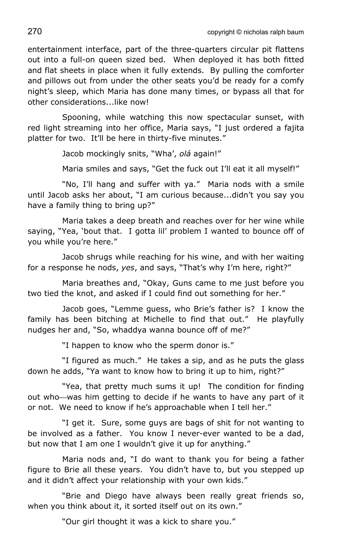270 copyright © nicholas ralph baum

entertainment interface, part of the three-quarters circular pit flattens out into a full-on queen sized bed. When deployed it has both fitted and flat sheets in place when it fully extends. By pulling the comforter and pillows out from under the other seats you'd be ready for a comfy night's sleep, which Maria has done many times, or bypass all that for other considerations. like now!

Spooning, while watching this now spectacular sunset, with red light streaming into her office, Maria says, "I just ordered a fajita platter for two. It'll be here in thirty-five minutes."

Jacob mockingly snits, "Wha', *olá* again!"

Maria smiles and says, "Get the fuck out I'll eat it all myself!"

"No, I'll hang and suffer with ya." Maria nods with a smile until Jacob asks her about, "I am curious because...didn't you say you have a family thing to bring up?"

Maria takes a deep breath and reaches over for her wine while saying, "Yea, 'bout that. I gotta lil' problem I wanted to bounce off of you while you're here."

Jacob shrugs while reaching for his wine, and with her waiting for a response he nods, *yes*, and says, "That's why I'm here, right?"

Maria breathes and, "Okay, Guns came to me just before you two tied the knot, and asked if I could find out something for her."

Jacob goes, "Lemme guess, who Brie's father is? I know the family has been bitching at Michelle to find that out." He playfully nudges her and, "So, whaddya wanna bounce off of me?"

"I happen to know who the sperm donor is."

"I figured as much." He takes a sip, and as he puts the glass down he adds, "Ya want to know how to bring it up to him, right?"

"Yea, that pretty much sums it up! The condition for finding out who—was him getting to decide if he wants to have any part of it or not. We need to know if he's approachable when I tell her."

"I get it. Sure, some guys are bags of shit for not wanting to be involved as a father. You know I never-ever wanted to be a dad, but now that I am one I wouldn't give it up for anything."

Maria nods and, "I do want to thank you for being a father figure to Brie all these years. You didn't have to, but you stepped up and it didn't affect your relationship with your own kids."

"Brie and Diego have always been really great friends so, when you think about it, it sorted itself out on its own."

"Our girl thought it was a kick to share you."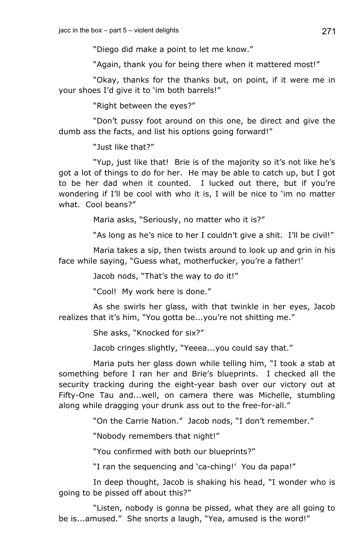"Diego did make a point to let me know."

"Again, thank you for being there when it mattered most!"

"Okay, thanks for the thanks but, on point, if it were me in your shoes I'd give it to 'im both barrels!"

"Right between the eyes?"

"Don't pussy foot around on this one, be direct and give the dumb ass the facts, and list his options going forward!"

"Just like that?"

"Yup, just like that! Brie is of the majority so it's not like he's got a lot of things to do for her. He may be able to catch up, but I got to be her dad when it counted. I lucked out there, but if you're wondering if I'll be cool with who it is, I will be nice to 'im no matter what. Cool beans?"

Maria asks, "Seriously, no matter who it is?"

"As long as he's nice to her I couldn't give a shit. I'll be civil!"

Maria takes a sip, then twists around to look up and grin in his face while saying, "Guess what, motherfucker, you're a father!'

Jacob nods, "That's the way to do it!"

"Cool! My work here is done."

As she swirls her glass, with that twinkle in her eyes, Jacob realizes that it's him, "You gotta be...you're not shitting me."

She asks, "Knocked for six?"

Jacob cringes slightly, "Yeeea...you could say that."

Maria puts her glass down while telling him, "I took a stab at something before I ran her and Brie's blueprints. I checked all the security tracking during the eight-year bash over our victory out at Fifty-One Tau and...well, on camera there was Michelle, stumbling along while dragging your drunk ass out to the free-for-all."

"On the Carrie Nation." Jacob nods, "I don't remember."

"Nobody remembers that night!"

"You confirmed with both our blueprints?"

"I ran the sequencing and 'ca-ching!' You da papa!"

In deep thought, Jacob is shaking his head, "I wonder who is going to be pissed off about this?"

"Listen, nobody is gonna be pissed, what they are all going to be is...amused." She snorts a laugh, "Yea, amused is the word!"